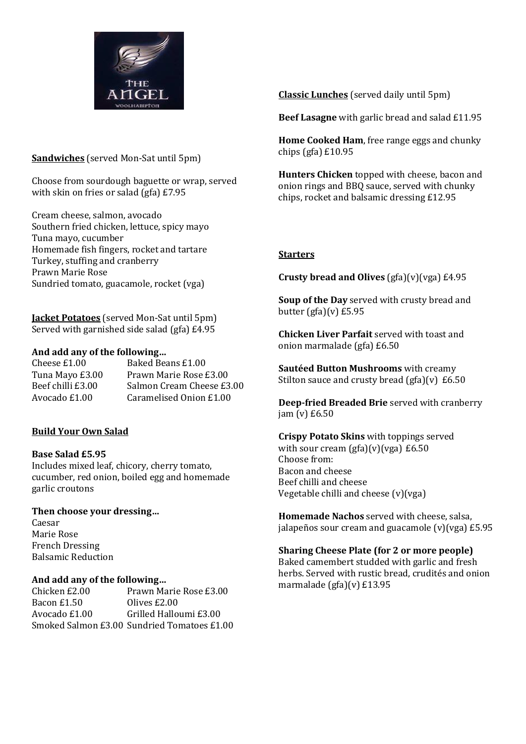

### **Sandwiches** (served Mon-Sat until 5pm)

Choose from sourdough baguette or wrap, served with skin on fries or salad (gfa) £7.95

Cream cheese, salmon, avocado Southern fried chicken, lettuce, spicy mayo Tuna mayo, cucumber Homemade fish fingers, rocket and tartare Turkey, stuffing and cranberry Prawn Marie Rose Sundried tomato, guacamole, rocket (vga)

**Jacket Potatoes** (served Mon-Sat until 5pm) Served with garnished side salad (gfa) £4.95

#### **And add any of the following…**

Cheese £1.00 Baked Beans £1.00 Tuna Mayo £3.00 Prawn Marie Rose £3.00 Beef chilli £3.00 Salmon Cream Cheese £3.00 Avocado £1.00 Caramelised Onion £1.00

# **Build Your Own Salad**

#### **Base Salad £5.95**

Includes mixed leaf, chicory, cherry tomato, cucumber, red onion, boiled egg and homemade garlic croutons

# **Then choose your dressing…**

Caesar Marie Rose French Dressing Balsamic Reduction

# **And add any of the following…**

Chicken £2.00 Prawn Marie Rose £3.00 Bacon £1.50 Olives £2.00 Avocado £1.00 Grilled Halloumi £3.00 Smoked Salmon £3.00 Sundried Tomatoes £1.00 **Classic Lunches** (served daily until 5pm)

**Beef Lasagne** with garlic bread and salad £11.95

**Home Cooked Ham**, free range eggs and chunky chips (gfa) £10.95

**Hunters Chicken** topped with cheese, bacon and onion rings and BBQ sauce, served with chunky chips, rocket and balsamic dressing £12.95

# **Starters**

**Crusty bread and Olives** (gfa)(v)(vga) £4.95

**Soup of the Day** served with crusty bread and butter  $(gfa)(v)$  £5.95

**Chicken Liver Parfait** served with toast and onion marmalade (gfa) £6.50

**Sautéed Button Mushrooms** with creamy Stilton sauce and crusty bread  $(gfa)(v)$  £6.50

**Deep-fried Breaded Brie** served with cranberry jam (v) £6.50

#### **Crispy Potato Skins** with toppings served with sour cream  $\frac{g}{a}\left[\gamma\right]$  (vga) £6.50 Choose from: Bacon and cheese Beef chilli and cheese Vegetable chilli and cheese (v)(vga)

**Homemade Nachos** served with cheese, salsa, jalapeños sour cream and guacamole  $(v)(vga)$  £5.95

# **Sharing Cheese Plate (for 2 or more people)**

Baked camembert studded with garlic and fresh herbs. Served with rustic bread, crudités and onion marmalade (gfa)(v) £13.95